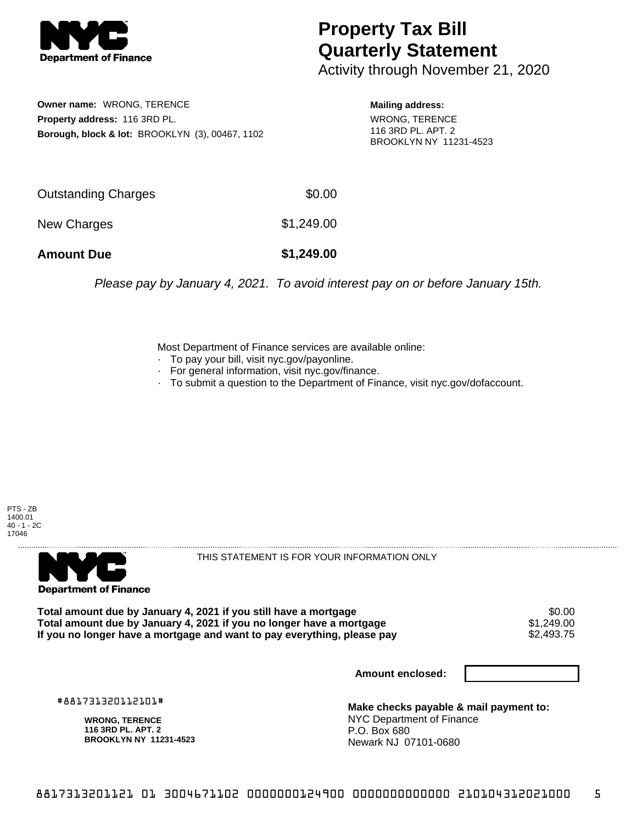

## **Property Tax Bill Quarterly Statement**

Activity through November 21, 2020

**Owner name:** WRONG, TERENCE **Property address:** 116 3RD PL. **Borough, block & lot:** BROOKLYN (3), 00467, 1102

**Mailing address:** WRONG, TERENCE 116 3RD PL. APT. 2 BROOKLYN NY 11231-4523

| <b>Amount Due</b>   | \$1,249.00 |
|---------------------|------------|
| New Charges         | \$1,249.00 |
| Outstanding Charges | \$0.00     |

Please pay by January 4, 2021. To avoid interest pay on or before January 15th.

Most Department of Finance services are available online:

- · To pay your bill, visit nyc.gov/payonline.
- For general information, visit nyc.gov/finance.
- · To submit a question to the Department of Finance, visit nyc.gov/dofaccount.

PTS - ZB 1400.01 40 - 1 - 2C 17046



THIS STATEMENT IS FOR YOUR INFORMATION ONLY

Total amount due by January 4, 2021 if you still have a mortgage \$0.00<br>Total amount due by January 4, 2021 if you no longer have a mortgage \$1.249.00 **Total amount due by January 4, 2021 if you no longer have a mortgage**  $$1,249.00$ **<br>If you no longer have a mortgage and want to pay everything, please pay <b>show that have up** that the same stream If you no longer have a mortgage and want to pay everything, please pay

**Amount enclosed:**

#881731320112101#

**WRONG, TERENCE 116 3RD PL. APT. 2 BROOKLYN NY 11231-4523**

**Make checks payable & mail payment to:** NYC Department of Finance P.O. Box 680 Newark NJ 07101-0680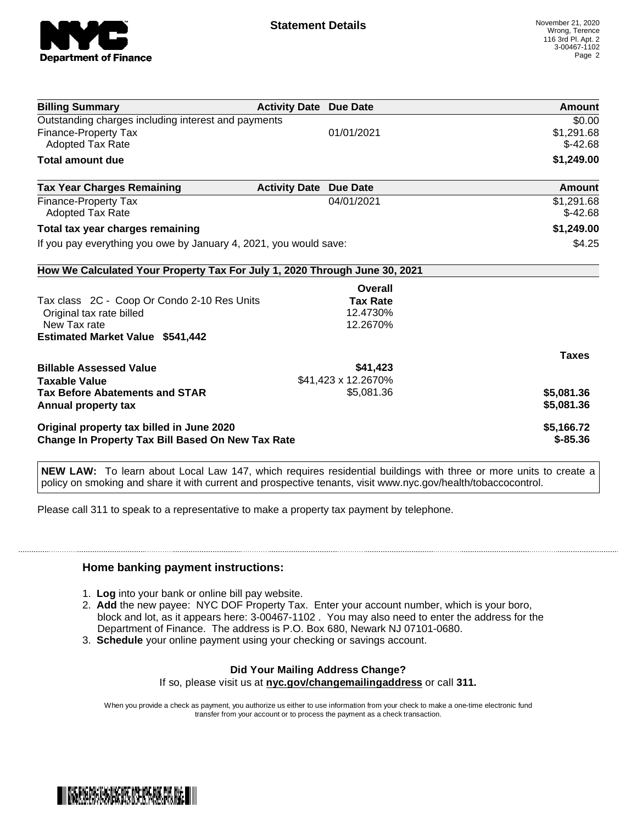

| <b>Billing Summary</b>                                                     | <b>Activity Date Due Date</b> |                     | <b>Amount</b> |
|----------------------------------------------------------------------------|-------------------------------|---------------------|---------------|
| Outstanding charges including interest and payments                        |                               |                     | \$0.00        |
| Finance-Property Tax                                                       |                               | 01/01/2021          | \$1,291.68    |
| <b>Adopted Tax Rate</b>                                                    |                               |                     | $$-42.68$     |
| <b>Total amount due</b>                                                    |                               |                     | \$1,249.00    |
| <b>Tax Year Charges Remaining</b>                                          | <b>Activity Date</b>          | <b>Due Date</b>     | Amount        |
| <b>Finance-Property Tax</b>                                                |                               | 04/01/2021          | \$1,291.68    |
| <b>Adopted Tax Rate</b>                                                    |                               |                     | $$-42.68$     |
| Total tax year charges remaining                                           |                               |                     | \$1,249.00    |
| If you pay everything you owe by January 4, 2021, you would save:          |                               |                     | \$4.25        |
| How We Calculated Your Property Tax For July 1, 2020 Through June 30, 2021 |                               |                     |               |
|                                                                            |                               | Overall             |               |
| Tax class 2C - Coop Or Condo 2-10 Res Units                                |                               | <b>Tax Rate</b>     |               |
| Original tax rate billed                                                   |                               | 12.4730%            |               |
| New Tax rate                                                               |                               | 12.2670%            |               |
| <b>Estimated Market Value \$541,442</b>                                    |                               |                     |               |
|                                                                            |                               |                     | <b>Taxes</b>  |
| <b>Billable Assessed Value</b>                                             |                               | \$41,423            |               |
| <b>Taxable Value</b>                                                       |                               | \$41,423 x 12.2670% |               |
| <b>Tax Before Abatements and STAR</b>                                      |                               | \$5,081.36          | \$5,081.36    |
| Annual property tax                                                        |                               |                     | \$5,081.36    |
| Original property tax billed in June 2020                                  |                               |                     | \$5,166.72    |
| <b>Change In Property Tax Bill Based On New Tax Rate</b>                   |                               |                     | $$-85.36$     |

**NEW LAW:** To learn about Local Law 147, which requires residential buildings with three or more units to create a policy on smoking and share it with current and prospective tenants, visit www.nyc.gov/health/tobaccocontrol.

Please call 311 to speak to a representative to make a property tax payment by telephone.

## **Home banking payment instructions:**

- 1. **Log** into your bank or online bill pay website.
- 2. **Add** the new payee: NYC DOF Property Tax. Enter your account number, which is your boro, block and lot, as it appears here: 3-00467-1102 . You may also need to enter the address for the Department of Finance. The address is P.O. Box 680, Newark NJ 07101-0680.
- 3. **Schedule** your online payment using your checking or savings account.

## **Did Your Mailing Address Change?**

If so, please visit us at **nyc.gov/changemailingaddress** or call **311.**

When you provide a check as payment, you authorize us either to use information from your check to make a one-time electronic fund transfer from your account or to process the payment as a check transaction.